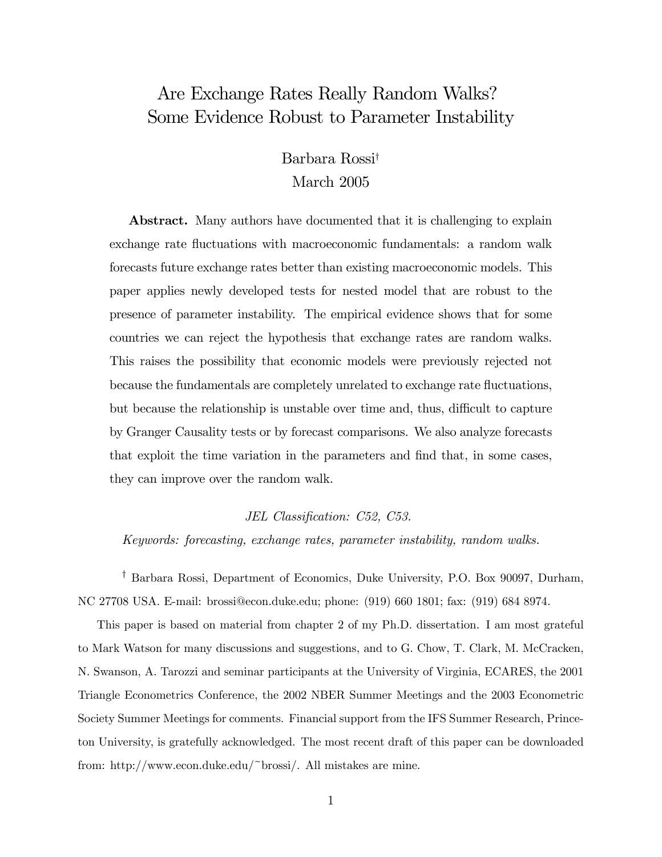# Are Exchange Rates Really Random Walks? Some Evidence Robust to Parameter Instability

## Barbara Rossi† March 2005

Abstract. Many authors have documented that it is challenging to explain exchange rate fluctuations with macroeconomic fundamentals: a random walk forecasts future exchange rates better than existing macroeconomic models. This paper applies newly developed tests for nested model that are robust to the presence of parameter instability. The empirical evidence shows that for some countries we can reject the hypothesis that exchange rates are random walks. This raises the possibility that economic models were previously rejected not because the fundamentals are completely unrelated to exchange rate fluctuations, but because the relationship is unstable over time and, thus, difficult to capture by Granger Causality tests or by forecast comparisons. We also analyze forecasts that exploit the time variation in the parameters and find that, in some cases, they can improve over the random walk.

JEL Classification: C52, C53.

Keywords: forecasting, exchange rates, parameter instability, random walks.

† Barbara Rossi, Department of Economics, Duke University, P.O. Box 90097, Durham, NC 27708 USA. E-mail: brossi@econ.duke.edu; phone: (919) 660 1801; fax: (919) 684 8974.

This paper is based on material from chapter 2 of my Ph.D. dissertation. I am most grateful to Mark Watson for many discussions and suggestions, and to G. Chow, T. Clark, M. McCracken, N. Swanson, A. Tarozzi and seminar participants at the University of Virginia, ECARES, the 2001 Triangle Econometrics Conference, the 2002 NBER Summer Meetings and the 2003 Econometric Society Summer Meetings for comments. Financial support from the IFS Summer Research, Princeton University, is gratefully acknowledged. The most recent draft of this paper can be downloaded from: http://www.econ.duke.edu/~brossi/. All mistakes are mine.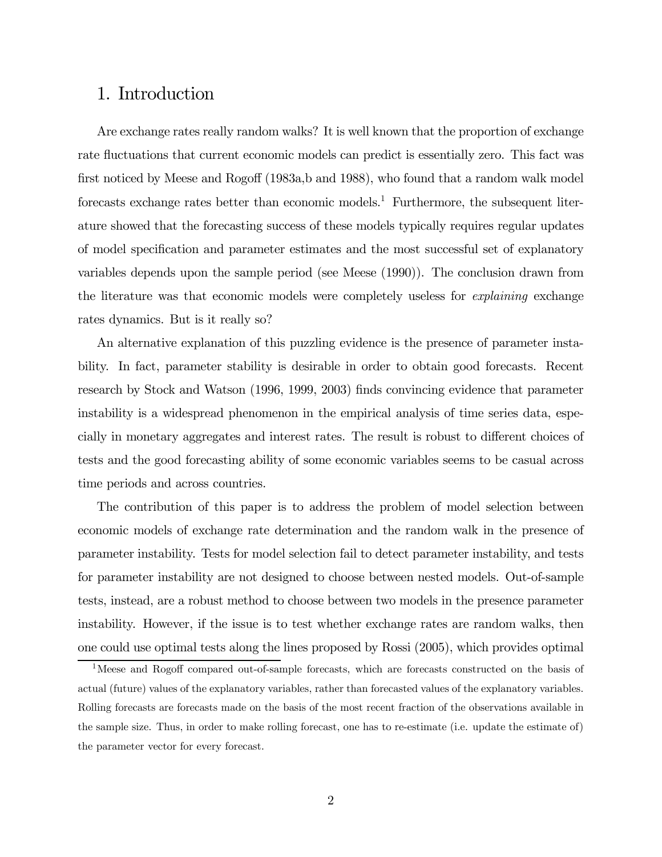### 1. Introduction

Are exchange rates really random walks? It is well known that the proportion of exchange rate fluctuations that current economic models can predict is essentially zero. This fact was first noticed by Meese and Rogoff (1983a,b and 1988), who found that a random walk model forecasts exchange rates better than economic models.<sup>1</sup> Furthermore, the subsequent literature showed that the forecasting success of these models typically requires regular updates of model specification and parameter estimates and the most successful set of explanatory variables depends upon the sample period (see Meese (1990)). The conclusion drawn from the literature was that economic models were completely useless for explaining exchange rates dynamics. But is it really so?

An alternative explanation of this puzzling evidence is the presence of parameter instability. In fact, parameter stability is desirable in order to obtain good forecasts. Recent research by Stock and Watson (1996, 1999, 2003) finds convincing evidence that parameter instability is a widespread phenomenon in the empirical analysis of time series data, especially in monetary aggregates and interest rates. The result is robust to different choices of tests and the good forecasting ability of some economic variables seems to be casual across time periods and across countries.

The contribution of this paper is to address the problem of model selection between economic models of exchange rate determination and the random walk in the presence of parameter instability. Tests for model selection fail to detect parameter instability, and tests for parameter instability are not designed to choose between nested models. Out-of-sample tests, instead, are a robust method to choose between two models in the presence parameter instability. However, if the issue is to test whether exchange rates are random walks, then one could use optimal tests along the lines proposed by Rossi (2005), which provides optimal

<sup>&</sup>lt;sup>1</sup>Meese and Rogoff compared out-of-sample forecasts, which are forecasts constructed on the basis of actual (future) values of the explanatory variables, rather than forecasted values of the explanatory variables. Rolling forecasts are forecasts made on the basis of the most recent fraction of the observations available in the sample size. Thus, in order to make rolling forecast, one has to re-estimate (i.e. update the estimate of) the parameter vector for every forecast.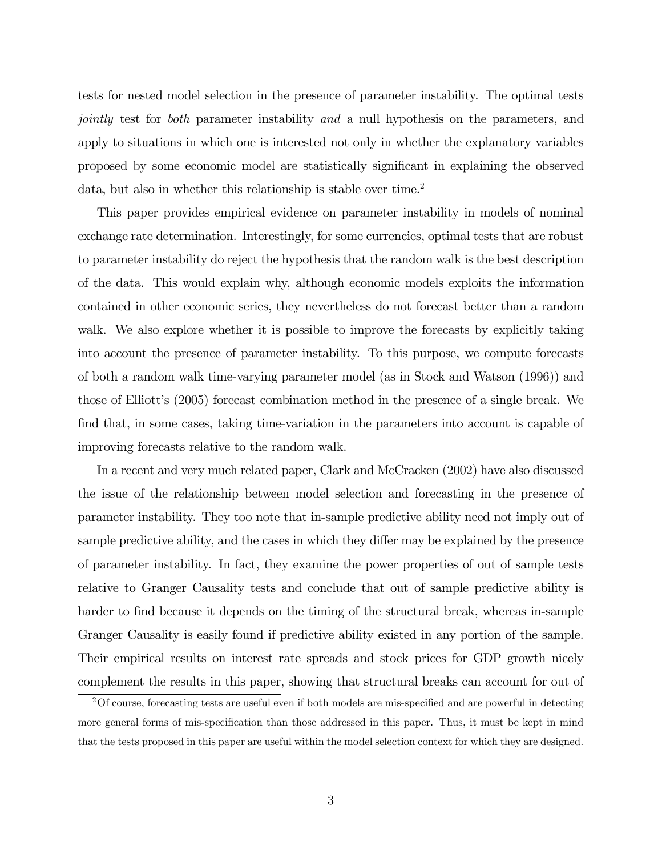tests for nested model selection in the presence of parameter instability. The optimal tests jointly test for both parameter instability and a null hypothesis on the parameters, and apply to situations in which one is interested not only in whether the explanatory variables proposed by some economic model are statistically significant in explaining the observed data, but also in whether this relationship is stable over time.<sup>2</sup>

This paper provides empirical evidence on parameter instability in models of nominal exchange rate determination. Interestingly, for some currencies, optimal tests that are robust to parameter instability do reject the hypothesis that the random walk is the best description of the data. This would explain why, although economic models exploits the information contained in other economic series, they nevertheless do not forecast better than a random walk. We also explore whether it is possible to improve the forecasts by explicitly taking into account the presence of parameter instability. To this purpose, we compute forecasts of both a random walk time-varying parameter model (as in Stock and Watson (1996)) and those of Elliott's (2005) forecast combination method in the presence of a single break. We find that, in some cases, taking time-variation in the parameters into account is capable of improving forecasts relative to the random walk.

In a recent and very much related paper, Clark and McCracken (2002) have also discussed the issue of the relationship between model selection and forecasting in the presence of parameter instability. They too note that in-sample predictive ability need not imply out of sample predictive ability, and the cases in which they differ may be explained by the presence of parameter instability. In fact, they examine the power properties of out of sample tests relative to Granger Causality tests and conclude that out of sample predictive ability is harder to find because it depends on the timing of the structural break, whereas in-sample Granger Causality is easily found if predictive ability existed in any portion of the sample. Their empirical results on interest rate spreads and stock prices for GDP growth nicely complement the results in this paper, showing that structural breaks can account for out of

<sup>2</sup>Of course, forecasting tests are useful even if both models are mis-specified and are powerful in detecting more general forms of mis-specification than those addressed in this paper. Thus, it must be kept in mind that the tests proposed in this paper are useful within the model selection context for which they are designed.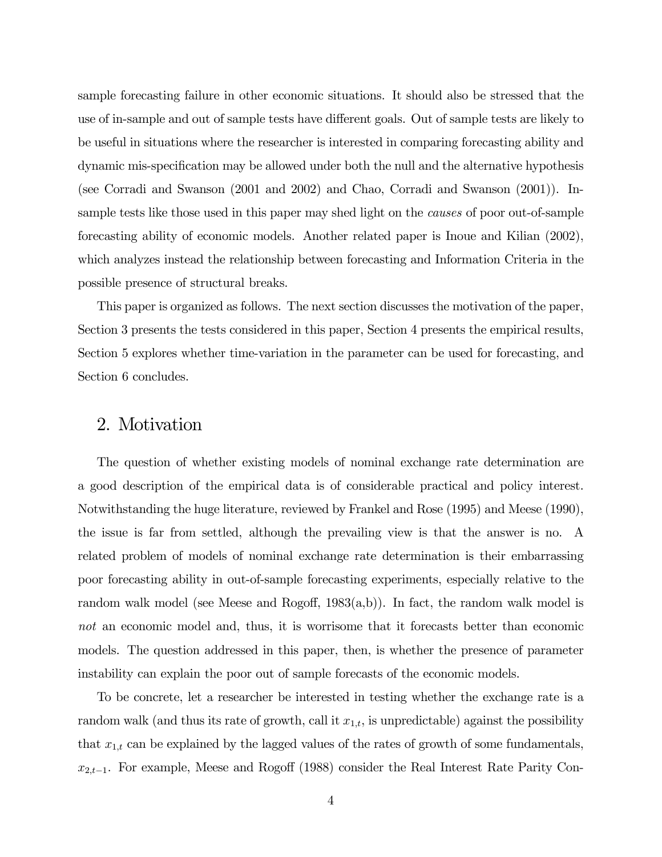sample forecasting failure in other economic situations. It should also be stressed that the use of in-sample and out of sample tests have different goals. Out of sample tests are likely to be useful in situations where the researcher is interested in comparing forecasting ability and dynamic mis-specification may be allowed under both the null and the alternative hypothesis (see Corradi and Swanson (2001 and 2002) and Chao, Corradi and Swanson (2001)). Insample tests like those used in this paper may shed light on the *causes* of poor out-of-sample forecasting ability of economic models. Another related paper is Inoue and Kilian (2002), which analyzes instead the relationship between forecasting and Information Criteria in the possible presence of structural breaks.

This paper is organized as follows. The next section discusses the motivation of the paper, Section 3 presents the tests considered in this paper, Section 4 presents the empirical results, Section 5 explores whether time-variation in the parameter can be used for forecasting, and Section 6 concludes.

## 2. Motivation

The question of whether existing models of nominal exchange rate determination are a good description of the empirical data is of considerable practical and policy interest. Notwithstanding the huge literature, reviewed by Frankel and Rose (1995) and Meese (1990), the issue is far from settled, although the prevailing view is that the answer is no. A related problem of models of nominal exchange rate determination is their embarrassing poor forecasting ability in out-of-sample forecasting experiments, especially relative to the random walk model (see Meese and Rogoff, 1983(a,b)). In fact, the random walk model is not an economic model and, thus, it is worrisome that it forecasts better than economic models. The question addressed in this paper, then, is whether the presence of parameter instability can explain the poor out of sample forecasts of the economic models.

To be concrete, let a researcher be interested in testing whether the exchange rate is a random walk (and thus its rate of growth, call it  $x_{1,t}$ , is unpredictable) against the possibility that  $x_{1,t}$  can be explained by the lagged values of the rates of growth of some fundamentals,  $x_{2,t-1}$ . For example, Meese and Rogoff (1988) consider the Real Interest Rate Parity Con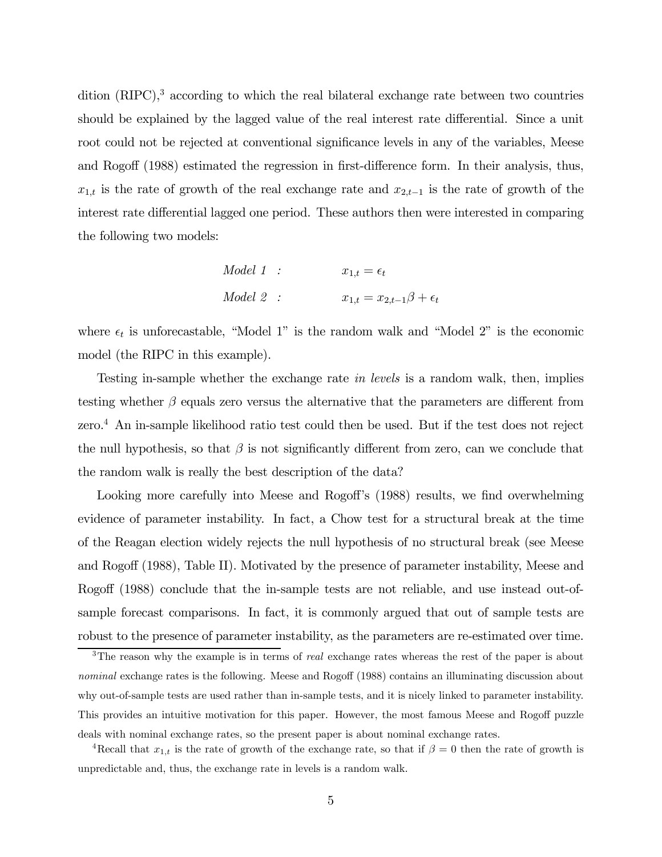dition (RIPC),<sup>3</sup> according to which the real bilateral exchange rate between two countries should be explained by the lagged value of the real interest rate differential. Since a unit root could not be rejected at conventional significance levels in any of the variables, Meese and Rogoff (1988) estimated the regression in first-difference form. In their analysis, thus,  $x_{1,t}$  is the rate of growth of the real exchange rate and  $x_{2,t-1}$  is the rate of growth of the interest rate differential lagged one period. These authors then were interested in comparing the following two models:

Model 1 : 
$$
x_{1,t} = \epsilon_t
$$
  
Model 2 :  $x_{1,t} = x_{2,t-1}\beta + \epsilon_t$ 

where  $\epsilon_t$  is unforecastable, "Model 1" is the random walk and "Model 2" is the economic model (the RIPC in this example).

Testing in-sample whether the exchange rate in levels is a random walk, then, implies testing whether  $\beta$  equals zero versus the alternative that the parameters are different from zero.4 An in-sample likelihood ratio test could then be used. But if the test does not reject the null hypothesis, so that  $\beta$  is not significantly different from zero, can we conclude that the random walk is really the best description of the data?

Looking more carefully into Meese and Rogoff's (1988) results, we find overwhelming evidence of parameter instability. In fact, a Chow test for a structural break at the time of the Reagan election widely rejects the null hypothesis of no structural break (see Meese and Rogoff (1988), Table II). Motivated by the presence of parameter instability, Meese and Rogoff (1988) conclude that the in-sample tests are not reliable, and use instead out-ofsample forecast comparisons. In fact, it is commonly argued that out of sample tests are robust to the presence of parameter instability, as the parameters are re-estimated over time.

<sup>&</sup>lt;sup>3</sup>The reason why the example is in terms of *real* exchange rates whereas the rest of the paper is about nominal exchange rates is the following. Meese and Rogoff (1988) contains an illuminating discussion about why out-of-sample tests are used rather than in-sample tests, and it is nicely linked to parameter instability. This provides an intuitive motivation for this paper. However, the most famous Meese and Rogoff puzzle deals with nominal exchange rates, so the present paper is about nominal exchange rates.

<sup>&</sup>lt;sup>4</sup>Recall that  $x_{1,t}$  is the rate of growth of the exchange rate, so that if  $\beta = 0$  then the rate of growth is unpredictable and, thus, the exchange rate in levels is a random walk.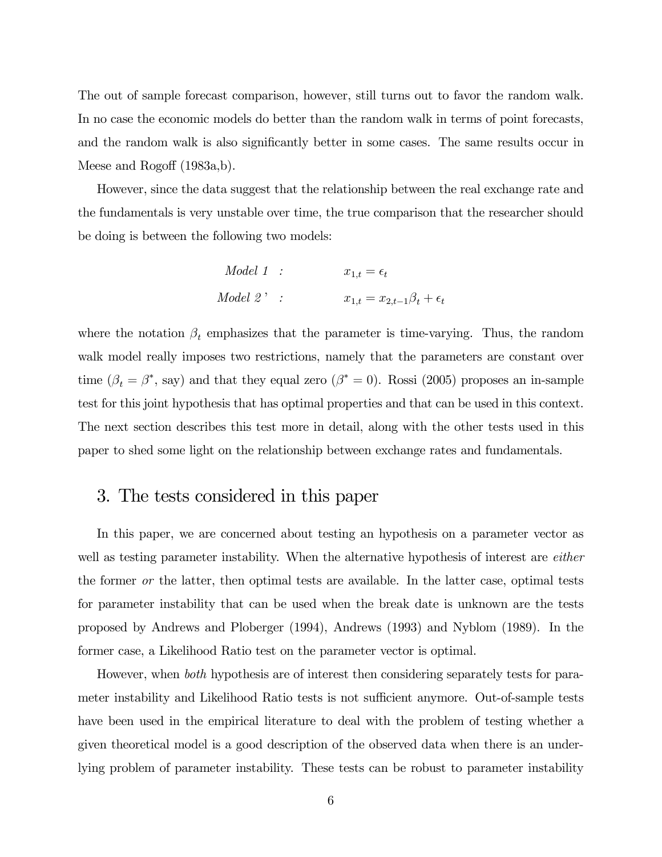The out of sample forecast comparison, however, still turns out to favor the random walk. In no case the economic models do better than the random walk in terms of point forecasts, and the random walk is also significantly better in some cases. The same results occur in Meese and Rogoff (1983a,b).

However, since the data suggest that the relationship between the real exchange rate and the fundamentals is very unstable over time, the true comparison that the researcher should be doing is between the following two models:

Model 1 : 
$$
x_{1,t} = \epsilon_t
$$
  
Model 2' :  $x_{1,t} = x_{2,t-1}\beta_t + \epsilon_t$ 

where the notation  $\beta_t$  emphasizes that the parameter is time-varying. Thus, the random walk model really imposes two restrictions, namely that the parameters are constant over time  $(\beta_t = \beta^*$ , say) and that they equal zero  $(\beta^* = 0)$ . Rossi (2005) proposes an in-sample test for this joint hypothesis that has optimal properties and that can be used in this context. The next section describes this test more in detail, along with the other tests used in this paper to shed some light on the relationship between exchange rates and fundamentals.

### 3. The tests considered in this paper

In this paper, we are concerned about testing an hypothesis on a parameter vector as well as testing parameter instability. When the alternative hypothesis of interest are *either* the former or the latter, then optimal tests are available. In the latter case, optimal tests for parameter instability that can be used when the break date is unknown are the tests proposed by Andrews and Ploberger (1994), Andrews (1993) and Nyblom (1989). In the former case, a Likelihood Ratio test on the parameter vector is optimal.

However, when both hypothesis are of interest then considering separately tests for parameter instability and Likelihood Ratio tests is not sufficient anymore. Out-of-sample tests have been used in the empirical literature to deal with the problem of testing whether a given theoretical model is a good description of the observed data when there is an underlying problem of parameter instability. These tests can be robust to parameter instability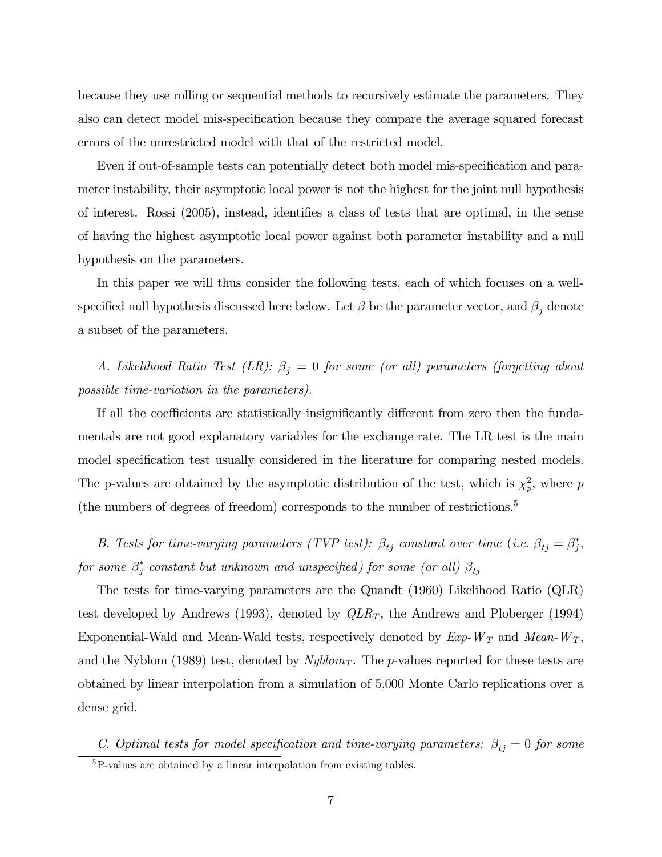because they use rolling or sequential methods to recursively estimate the parameters. They also can detect model mis-specification because they compare the average squared forecast errors of the unrestricted model with that of the restricted model.

Even if out-of-sample tests can potentially detect both model mis-specification and parameter instability, their asymptotic local power is not the highest for the joint null hypothesis of interest. Rossi (2005), instead, identifies a class of tests that are optimal, in the sense of having the highest asymptotic local power against both parameter instability and a null hypothesis on the parameters.

In this paper we will thus consider the following tests, each of which focuses on a wellspecified null hypothesis discussed here below. Let  $\beta$  be the parameter vector, and  $\beta_j$  denote a subset of the parameters.

A. Likelihood Ratio Test (LR):  $\beta_j = 0$  for some (or all) parameters (forgetting about possible time-variation in the parameters).

If all the coefficients are statistically insignificantly different from zero then the fundamentals are not good explanatory variables for the exchange rate. The LR test is the main model specification test usually considered in the literature for comparing nested models. The p-values are obtained by the asymptotic distribution of the test, which is  $\chi_p^2$ , where p (the numbers of degrees of freedom) corresponds to the number of restrictions.5

B. Tests for time-varying parameters (TVP test):  $\beta_{tj}$  constant over time (i.e.  $\beta_{tj} = \beta_j^*$ , for some  $\beta_j^*$  constant but unknown and unspecified) for some (or all)  $\beta_{tj}$ 

The tests for time-varying parameters are the Quandt (1960) Likelihood Ratio (QLR) test developed by Andrews (1993), denoted by  $QLR_T$ , the Andrews and Ploberger (1994) Exponential-Wald and Mean-Wald tests, respectively denoted by  $Exp-W_T$  and  $Mean-W_T$ , and the Nyblom (1989) test, denoted by  $Nyblom<sub>T</sub>$ . The p-values reported for these tests are obtained by linear interpolation from a simulation of 5,000 Monte Carlo replications over a dense grid.

C. Optimal tests for model specification and time-varying parameters:  $\beta_{tj} = 0$  for some 5P-values are obtained by a linear interpolation from existing tables.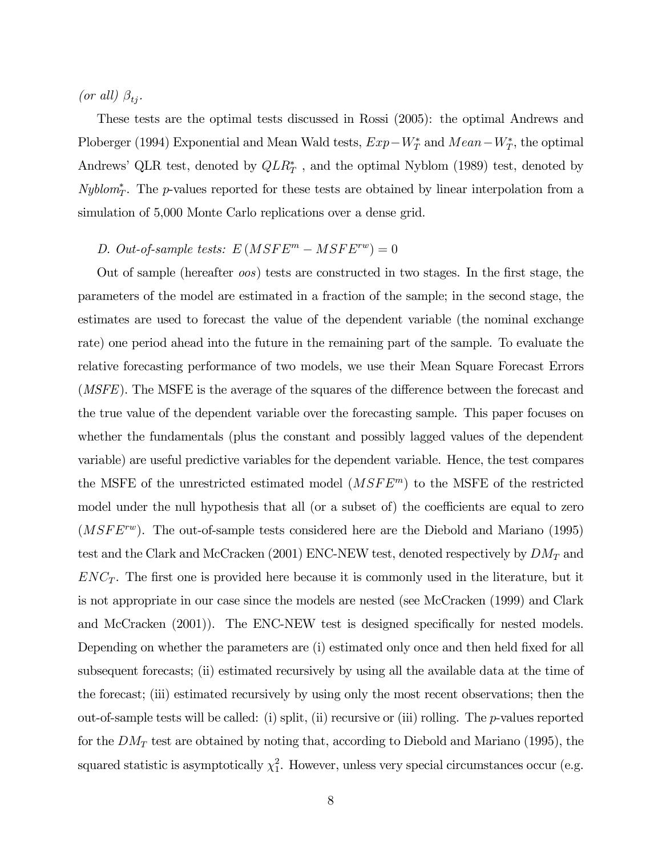(or all)  $\beta_{t_i}$ .

These tests are the optimal tests discussed in Rossi (2005): the optimal Andrews and Ploberger (1994) Exponential and Mean Wald tests,  $Exp-W_T^*$  and  $Mean-W_T^*$ , the optimal Andrews' QLR test, denoted by  $QLR_T^*$ , and the optimal Nyblom (1989) test, denoted by  $Nyblom_T^*$ . The p-values reported for these tests are obtained by linear interpolation from a simulation of 5,000 Monte Carlo replications over a dense grid.

### D. Out-of-sample tests:  $E(MSFE<sup>m</sup> - MSFE<sup>rw</sup>) = 0$

Out of sample (hereafter oos) tests are constructed in two stages. In the first stage, the parameters of the model are estimated in a fraction of the sample; in the second stage, the estimates are used to forecast the value of the dependent variable (the nominal exchange rate) one period ahead into the future in the remaining part of the sample. To evaluate the relative forecasting performance of two models, we use their Mean Square Forecast Errors (*MSFE*). The MSFE is the average of the squares of the difference between the forecast and the true value of the dependent variable over the forecasting sample. This paper focuses on whether the fundamentals (plus the constant and possibly lagged values of the dependent variable) are useful predictive variables for the dependent variable. Hence, the test compares the MSFE of the unrestricted estimated model  $(MSFE<sup>m</sup>)$  to the MSFE of the restricted model under the null hypothesis that all (or a subset of) the coefficients are equal to zero  $(MSFE^{rw})$ . The out-of-sample tests considered here are the Diebold and Mariano (1995) test and the Clark and McCracken (2001) ENC-NEW test, denoted respectively by  $DM_T$  and  $ENC_T$ . The first one is provided here because it is commonly used in the literature, but it is not appropriate in our case since the models are nested (see McCracken (1999) and Clark and McCracken (2001)). The ENC-NEW test is designed specifically for nested models. Depending on whether the parameters are (i) estimated only once and then held fixed for all subsequent forecasts; (ii) estimated recursively by using all the available data at the time of the forecast; (iii) estimated recursively by using only the most recent observations; then the out-of-sample tests will be called: (i) split, (ii) recursive or (iii) rolling. The p-values reported for the  $DM_T$  test are obtained by noting that, according to Diebold and Mariano (1995), the squared statistic is asymptotically  $\chi_1^2$ . However, unless very special circumstances occur (e.g.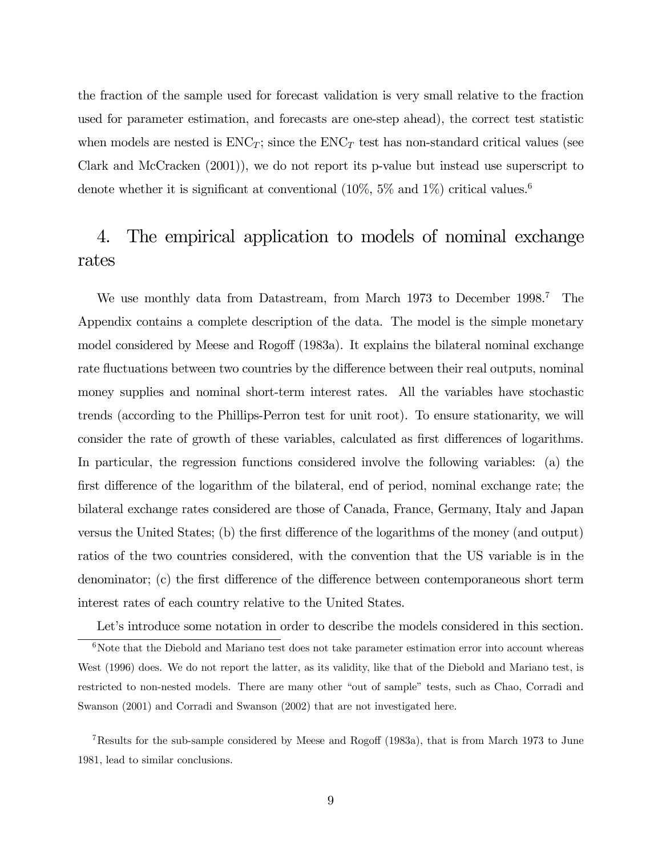the fraction of the sample used for forecast validation is very small relative to the fraction used for parameter estimation, and forecasts are one-step ahead), the correct test statistic when models are nested is  $ENC_T$ ; since the  $ENC_T$  test has non-standard critical values (see Clark and McCracken (2001)), we do not report its p-value but instead use superscript to denote whether it is significant at conventional  $(10\%, 5\% \text{ and } 1\%)$  critical values.<sup>6</sup>

# 4. The empirical application to models of nominal exchange rates

We use monthly data from Datastream, from March 1973 to December 1998.<sup>7</sup> The Appendix contains a complete description of the data. The model is the simple monetary model considered by Meese and Rogoff (1983a). It explains the bilateral nominal exchange rate fluctuations between two countries by the difference between their real outputs, nominal money supplies and nominal short-term interest rates. All the variables have stochastic trends (according to the Phillips-Perron test for unit root). To ensure stationarity, we will consider the rate of growth of these variables, calculated as first differences of logarithms. In particular, the regression functions considered involve the following variables: (a) the first difference of the logarithm of the bilateral, end of period, nominal exchange rate; the bilateral exchange rates considered are those of Canada, France, Germany, Italy and Japan versus the United States; (b) the first difference of the logarithms of the money (and output) ratios of the two countries considered, with the convention that the US variable is in the denominator; (c) the first difference of the difference between contemporaneous short term interest rates of each country relative to the United States.

Let's introduce some notation in order to describe the models considered in this section.

 $6$ Note that the Diebold and Mariano test does not take parameter estimation error into account whereas West (1996) does. We do not report the latter, as its validity, like that of the Diebold and Mariano test, is restricted to non-nested models. There are many other "out of sample" tests, such as Chao, Corradi and Swanson (2001) and Corradi and Swanson (2002) that are not investigated here.

<sup>7</sup>Results for the sub-sample considered by Meese and Rogoff (1983a), that is from March 1973 to June 1981, lead to similar conclusions.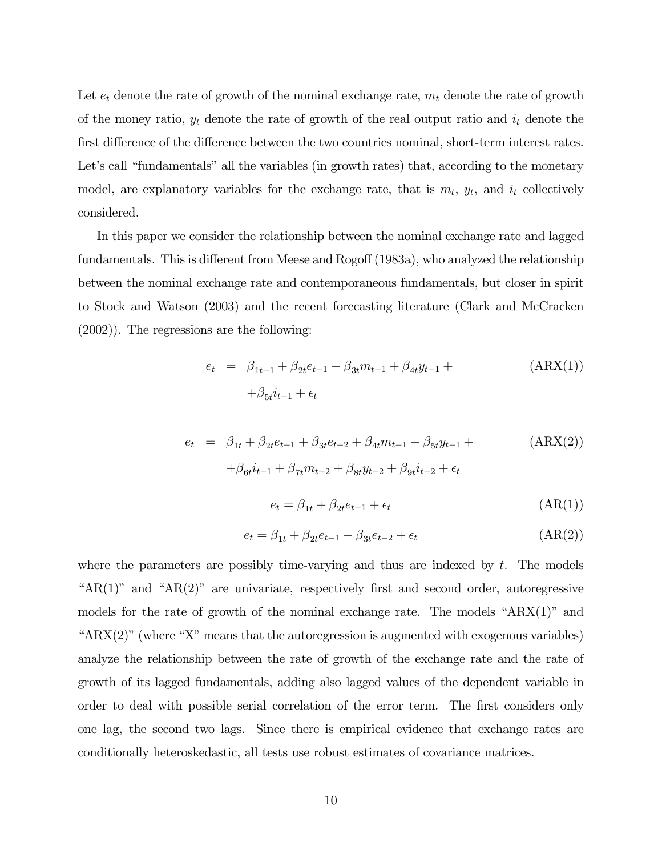Let  $e_t$  denote the rate of growth of the nominal exchange rate,  $m_t$  denote the rate of growth of the money ratio,  $y_t$  denote the rate of growth of the real output ratio and  $i_t$  denote the first difference of the difference between the two countries nominal, short-term interest rates. Let's call "fundamentals" all the variables (in growth rates) that, according to the monetary model, are explanatory variables for the exchange rate, that is  $m_t$ ,  $y_t$ , and  $i_t$  collectively considered.

In this paper we consider the relationship between the nominal exchange rate and lagged fundamentals. This is different from Meese and Rogoff (1983a), who analyzed the relationship between the nominal exchange rate and contemporaneous fundamentals, but closer in spirit to Stock and Watson (2003) and the recent forecasting literature (Clark and McCracken (2002)). The regressions are the following:

$$
e_{t} = \beta_{1t-1} + \beta_{2t}e_{t-1} + \beta_{3t}m_{t-1} + \beta_{4t}y_{t-1} +
$$
  
+
$$
\beta_{5t}i_{t-1} + \epsilon_{t}
$$
 (ARX(1))

$$
e_{t} = \beta_{1t} + \beta_{2t}e_{t-1} + \beta_{3t}e_{t-2} + \beta_{4t}m_{t-1} + \beta_{5t}y_{t-1} +
$$
  
+
$$
\beta_{6t}i_{t-1} + \beta_{7t}m_{t-2} + \beta_{8t}y_{t-2} + \beta_{9t}i_{t-2} + \epsilon_{t}
$$
 (ARX(2))

$$
e_t = \beta_{1t} + \beta_{2t}e_{t-1} + \epsilon_t \tag{AR(1)}
$$

$$
e_t = \beta_{1t} + \beta_{2t}e_{t-1} + \beta_{3t}e_{t-2} + \epsilon_t
$$
 (AR(2))

where the parameters are possibly time-varying and thus are indexed by  $t$ . The models " $AR(1)$ " and " $AR(2)$ " are univariate, respectively first and second order, autoregressive models for the rate of growth of the nominal exchange rate. The models "ARX(1)" and "ARX(2)" (where "X" means that the autoregression is augmented with exogenous variables) analyze the relationship between the rate of growth of the exchange rate and the rate of growth of its lagged fundamentals, adding also lagged values of the dependent variable in order to deal with possible serial correlation of the error term. The first considers only one lag, the second two lags. Since there is empirical evidence that exchange rates are conditionally heteroskedastic, all tests use robust estimates of covariance matrices.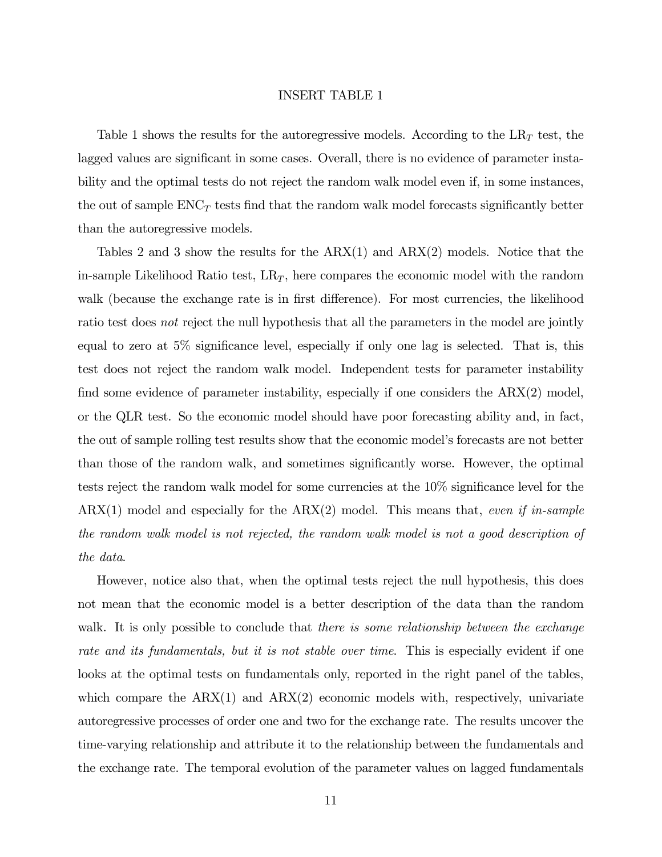#### INSERT TABLE 1

Table 1 shows the results for the autoregressive models. According to the  $LR<sub>T</sub>$  test, the lagged values are significant in some cases. Overall, there is no evidence of parameter instability and the optimal tests do not reject the random walk model even if, in some instances, the out of sample  $ENC<sub>T</sub>$  tests find that the random walk model forecasts significantly better than the autoregressive models.

Tables 2 and 3 show the results for the  $ARX(1)$  and  $ARX(2)$  models. Notice that the in-sample Likelihood Ratio test,  $LR_T$ , here compares the economic model with the random walk (because the exchange rate is in first difference). For most currencies, the likelihood ratio test does not reject the null hypothesis that all the parameters in the model are jointly equal to zero at 5% significance level, especially if only one lag is selected. That is, this test does not reject the random walk model. Independent tests for parameter instability find some evidence of parameter instability, especially if one considers the ARX(2) model, or the QLR test. So the economic model should have poor forecasting ability and, in fact, the out of sample rolling test results show that the economic model's forecasts are not better than those of the random walk, and sometimes significantly worse. However, the optimal tests reject the random walk model for some currencies at the 10% significance level for the  $ARX(1)$  model and especially for the  $ARX(2)$  model. This means that, even if in-sample the random walk model is not rejected, the random walk model is not a good description of the data.

However, notice also that, when the optimal tests reject the null hypothesis, this does not mean that the economic model is a better description of the data than the random walk. It is only possible to conclude that there is some relationship between the exchange rate and its fundamentals, but it is not stable over time. This is especially evident if one looks at the optimal tests on fundamentals only, reported in the right panel of the tables, which compare the  $ARX(1)$  and  $ARX(2)$  economic models with, respectively, univariate autoregressive processes of order one and two for the exchange rate. The results uncover the time-varying relationship and attribute it to the relationship between the fundamentals and the exchange rate. The temporal evolution of the parameter values on lagged fundamentals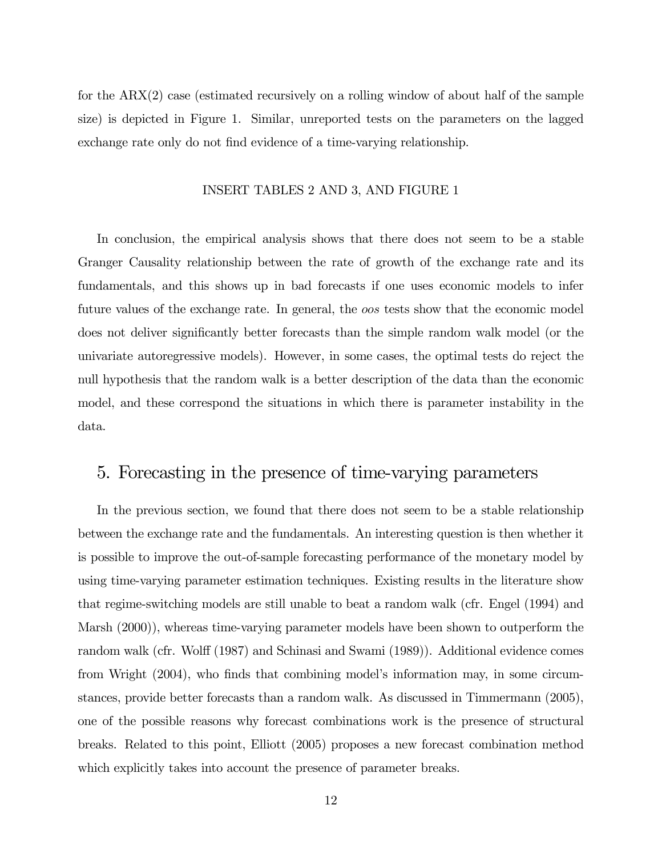for the ARX(2) case (estimated recursively on a rolling window of about half of the sample size) is depicted in Figure 1. Similar, unreported tests on the parameters on the lagged exchange rate only do not find evidence of a time-varying relationship.

#### INSERT TABLES 2 AND 3, AND FIGURE 1

In conclusion, the empirical analysis shows that there does not seem to be a stable Granger Causality relationship between the rate of growth of the exchange rate and its fundamentals, and this shows up in bad forecasts if one uses economic models to infer future values of the exchange rate. In general, the oos tests show that the economic model does not deliver significantly better forecasts than the simple random walk model (or the univariate autoregressive models). However, in some cases, the optimal tests do reject the null hypothesis that the random walk is a better description of the data than the economic model, and these correspond the situations in which there is parameter instability in the data.

### 5. Forecasting in the presence of time-varying parameters

In the previous section, we found that there does not seem to be a stable relationship between the exchange rate and the fundamentals. An interesting question is then whether it is possible to improve the out-of-sample forecasting performance of the monetary model by using time-varying parameter estimation techniques. Existing results in the literature show that regime-switching models are still unable to beat a random walk (cfr. Engel (1994) and Marsh (2000)), whereas time-varying parameter models have been shown to outperform the random walk (cfr. Wolff (1987) and Schinasi and Swami (1989)). Additional evidence comes from Wright (2004), who finds that combining model's information may, in some circumstances, provide better forecasts than a random walk. As discussed in Timmermann (2005), one of the possible reasons why forecast combinations work is the presence of structural breaks. Related to this point, Elliott (2005) proposes a new forecast combination method which explicitly takes into account the presence of parameter breaks.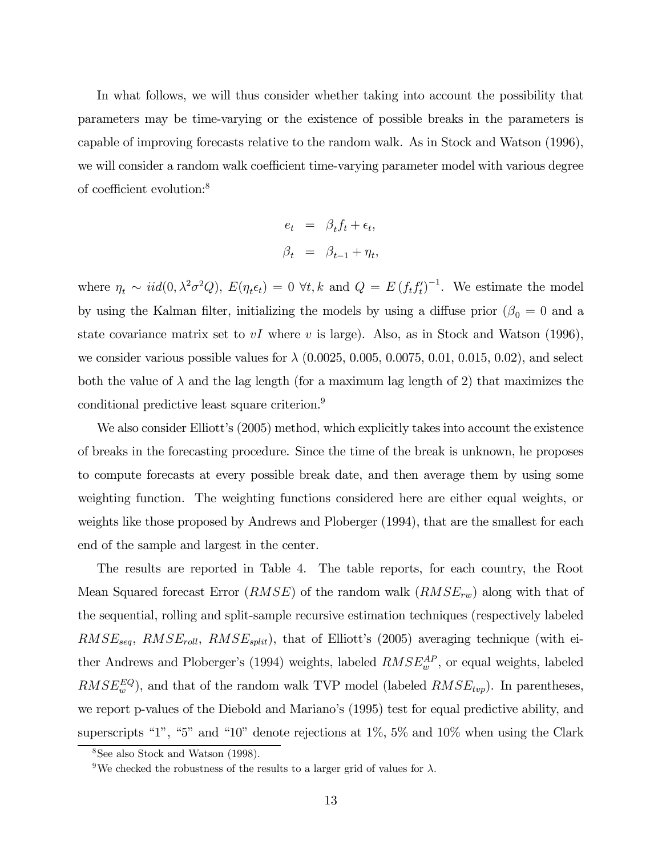In what follows, we will thus consider whether taking into account the possibility that parameters may be time-varying or the existence of possible breaks in the parameters is capable of improving forecasts relative to the random walk. As in Stock and Watson (1996), we will consider a random walk coefficient time-varying parameter model with various degree of coefficient evolution:8

$$
e_t = \beta_t f_t + \epsilon_t,
$$
  

$$
\beta_t = \beta_{t-1} + \eta_t,
$$

where  $\eta_t \sim \text{iid}(0, \lambda^2 \sigma^2 Q)$ ,  $E(\eta_t \epsilon_t) = 0 \ \forall t, k \text{ and } Q = E(f_t f_t')^{-1}$ . We estimate the model by using the Kalman filter, initializing the models by using a diffuse prior ( $\beta_0 = 0$  and a state covariance matrix set to  $vI$  where v is large). Also, as in Stock and Watson (1996), we consider various possible values for  $\lambda$  (0.0025, 0.005, 0.0075, 0.01, 0.015, 0.02), and select both the value of  $\lambda$  and the lag length (for a maximum lag length of 2) that maximizes the conditional predictive least square criterion.<sup>9</sup>

We also consider Elliott's (2005) method, which explicitly takes into account the existence of breaks in the forecasting procedure. Since the time of the break is unknown, he proposes to compute forecasts at every possible break date, and then average them by using some weighting function. The weighting functions considered here are either equal weights, or weights like those proposed by Andrews and Ploberger (1994), that are the smallest for each end of the sample and largest in the center.

The results are reported in Table 4. The table reports, for each country, the Root Mean Squared forecast Error  $(RMSE)$  of the random walk  $(RMSE_{rw})$  along with that of the sequential, rolling and split-sample recursive estimation techniques (respectively labeled  $RMSE_{seq}$ ,  $RMSE_{roll}$ ,  $RMSE_{split}$ ), that of Elliott's (2005) averaging technique (with either Andrews and Ploberger's (1994) weights, labeled  $RMSE_w^{AP}$ , or equal weights, labeled  $RMSE_w^{EQ}$ ), and that of the random walk TVP model (labeled  $RMSE_{top}$ ). In parentheses, we report p-values of the Diebold and Mariano's (1995) test for equal predictive ability, and superscripts "1", "5" and "10" denote rejections at 1%, 5% and 10% when using the Clark

<sup>8</sup>See also Stock and Watson (1998).

<sup>&</sup>lt;sup>9</sup>We checked the robustness of the results to a larger grid of values for  $\lambda$ .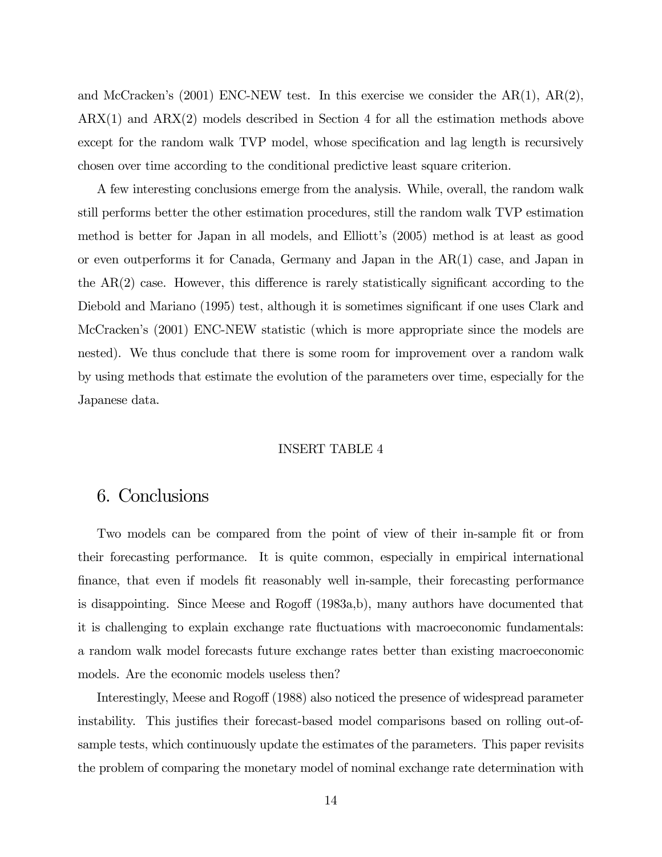and McCracken's  $(2001)$  ENC-NEW test. In this exercise we consider the  $AR(1)$ ,  $AR(2)$ , ARX(1) and ARX(2) models described in Section 4 for all the estimation methods above except for the random walk TVP model, whose specification and lag length is recursively chosen over time according to the conditional predictive least square criterion.

A few interesting conclusions emerge from the analysis. While, overall, the random walk still performs better the other estimation procedures, still the random walk TVP estimation method is better for Japan in all models, and Elliott's (2005) method is at least as good or even outperforms it for Canada, Germany and Japan in the AR(1) case, and Japan in the AR(2) case. However, this difference is rarely statistically significant according to the Diebold and Mariano (1995) test, although it is sometimes significant if one uses Clark and McCracken's (2001) ENC-NEW statistic (which is more appropriate since the models are nested). We thus conclude that there is some room for improvement over a random walk by using methods that estimate the evolution of the parameters over time, especially for the Japanese data.

#### INSERT TABLE 4

## 6. Conclusions

Two models can be compared from the point of view of their in-sample fit or from their forecasting performance. It is quite common, especially in empirical international finance, that even if models fit reasonably well in-sample, their forecasting performance is disappointing. Since Meese and Rogoff (1983a,b), many authors have documented that it is challenging to explain exchange rate fluctuations with macroeconomic fundamentals: a random walk model forecasts future exchange rates better than existing macroeconomic models. Are the economic models useless then?

Interestingly, Meese and Rogoff (1988) also noticed the presence of widespread parameter instability. This justifies their forecast-based model comparisons based on rolling out-ofsample tests, which continuously update the estimates of the parameters. This paper revisits the problem of comparing the monetary model of nominal exchange rate determination with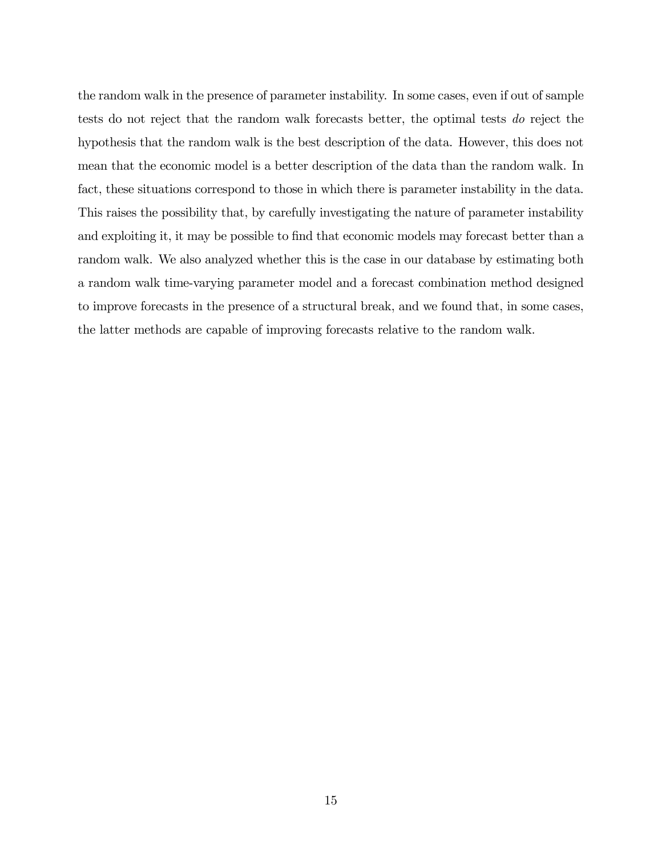the random walk in the presence of parameter instability. In some cases, even if out of sample tests do not reject that the random walk forecasts better, the optimal tests do reject the hypothesis that the random walk is the best description of the data. However, this does not mean that the economic model is a better description of the data than the random walk. In fact, these situations correspond to those in which there is parameter instability in the data. This raises the possibility that, by carefully investigating the nature of parameter instability and exploiting it, it may be possible to find that economic models may forecast better than a random walk. We also analyzed whether this is the case in our database by estimating both a random walk time-varying parameter model and a forecast combination method designed to improve forecasts in the presence of a structural break, and we found that, in some cases, the latter methods are capable of improving forecasts relative to the random walk.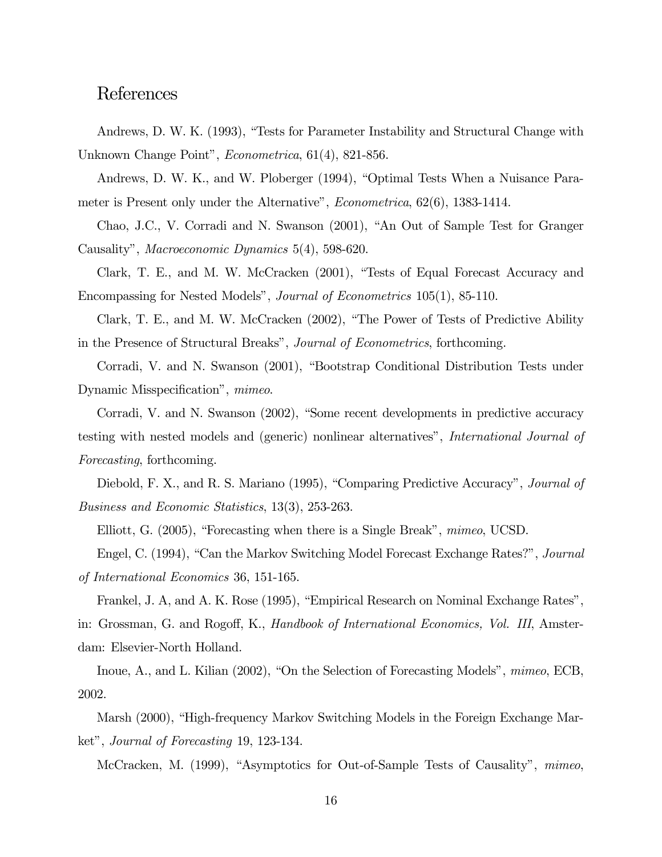## References

Andrews, D. W. K. (1993), "Tests for Parameter Instability and Structural Change with Unknown Change Point", Econometrica, 61(4), 821-856.

Andrews, D. W. K., and W. Ploberger (1994), "Optimal Tests When a Nuisance Parameter is Present only under the Alternative", Econometrica, 62(6), 1383-1414.

Chao, J.C., V. Corradi and N. Swanson (2001), "An Out of Sample Test for Granger Causality", Macroeconomic Dynamics 5(4), 598-620.

Clark, T. E., and M. W. McCracken (2001), "Tests of Equal Forecast Accuracy and Encompassing for Nested Models", Journal of Econometrics 105(1), 85-110.

Clark, T. E., and M. W. McCracken (2002), "The Power of Tests of Predictive Ability in the Presence of Structural Breaks", Journal of Econometrics, forthcoming.

Corradi, V. and N. Swanson (2001), "Bootstrap Conditional Distribution Tests under Dynamic Misspecification", mimeo.

Corradi, V. and N. Swanson (2002), "Some recent developments in predictive accuracy testing with nested models and (generic) nonlinear alternatives", International Journal of Forecasting, forthcoming.

Diebold, F. X., and R. S. Mariano (1995), "Comparing Predictive Accuracy", Journal of Business and Economic Statistics, 13(3), 253-263.

Elliott, G. (2005), "Forecasting when there is a Single Break", mimeo, UCSD.

Engel, C. (1994), "Can the Markov Switching Model Forecast Exchange Rates?", *Journal* of International Economics 36, 151-165.

Frankel, J. A, and A. K. Rose (1995), "Empirical Research on Nominal Exchange Rates", in: Grossman, G. and Rogoff, K., Handbook of International Economics, Vol. III, Amsterdam: Elsevier-North Holland.

Inoue, A., and L. Kilian (2002), "On the Selection of Forecasting Models", mimeo, ECB, 2002.

Marsh (2000), "High-frequency Markov Switching Models in the Foreign Exchange Market", Journal of Forecasting 19, 123-134.

McCracken, M. (1999), "Asymptotics for Out-of-Sample Tests of Causality", mimeo,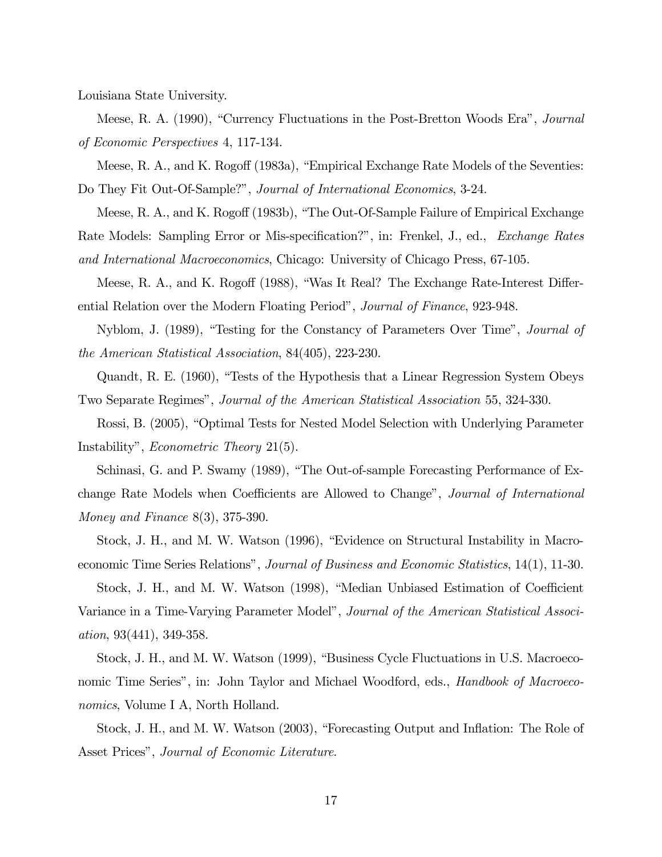Louisiana State University.

Meese, R. A. (1990), "Currency Fluctuations in the Post-Bretton Woods Era", *Journal* of Economic Perspectives 4, 117-134.

Meese, R. A., and K. Rogoff (1983a), "Empirical Exchange Rate Models of the Seventies: Do They Fit Out-Of-Sample?", Journal of International Economics, 3-24.

Meese, R. A., and K. Rogoff (1983b), "The Out-Of-Sample Failure of Empirical Exchange Rate Models: Sampling Error or Mis-specification?", in: Frenkel, J., ed., Exchange Rates and International Macroeconomics, Chicago: University of Chicago Press, 67-105.

Meese, R. A., and K. Rogoff (1988), "Was It Real? The Exchange Rate-Interest Differential Relation over the Modern Floating Period", Journal of Finance, 923-948.

Nyblom, J. (1989), "Testing for the Constancy of Parameters Over Time", Journal of the American Statistical Association, 84(405), 223-230.

Quandt, R. E. (1960), "Tests of the Hypothesis that a Linear Regression System Obeys Two Separate Regimes", Journal of the American Statistical Association 55, 324-330.

Rossi, B. (2005), "Optimal Tests for Nested Model Selection with Underlying Parameter Instability", Econometric Theory 21(5).

Schinasi, G. and P. Swamy (1989), "The Out-of-sample Forecasting Performance of Exchange Rate Models when Coefficients are Allowed to Change", Journal of International Money and Finance 8(3), 375-390.

Stock, J. H., and M. W. Watson (1996), "Evidence on Structural Instability in Macroeconomic Time Series Relations", Journal of Business and Economic Statistics, 14(1), 11-30.

Stock, J. H., and M. W. Watson (1998), "Median Unbiased Estimation of Coefficient Variance in a Time-Varying Parameter Model", Journal of the American Statistical Association, 93(441), 349-358.

Stock, J. H., and M. W. Watson (1999), "Business Cycle Fluctuations in U.S. Macroeconomic Time Series", in: John Taylor and Michael Woodford, eds., *Handbook of Macroeco*nomics, Volume I A, North Holland.

Stock, J. H., and M. W. Watson (2003), "Forecasting Output and Inflation: The Role of Asset Prices", Journal of Economic Literature.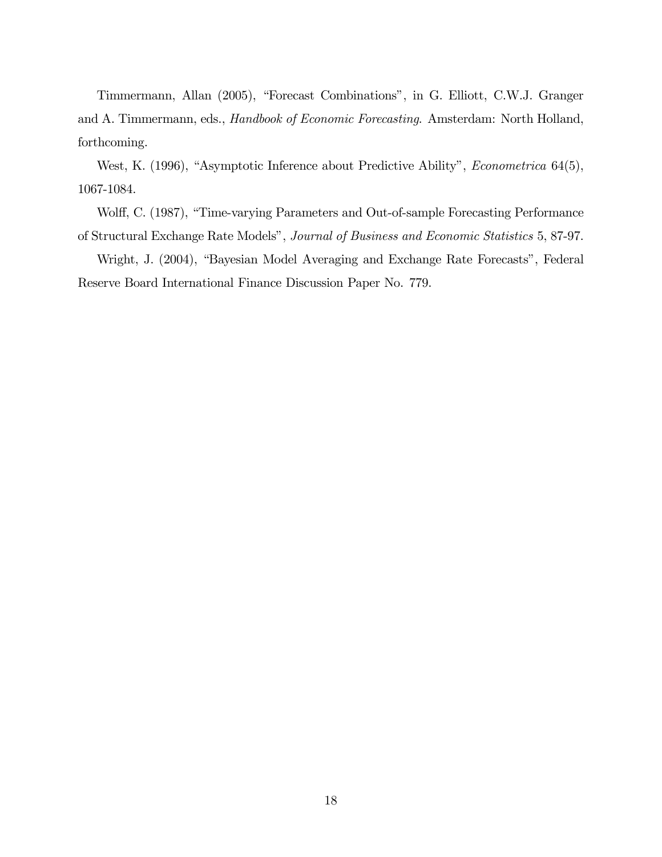Timmermann, Allan (2005), "Forecast Combinations", in G. Elliott, C.W.J. Granger and A. Timmermann, eds., Handbook of Economic Forecasting. Amsterdam: North Holland, forthcoming.

West, K. (1996), "Asymptotic Inference about Predictive Ability", Econometrica 64(5), 1067-1084.

Wolff, C. (1987), "Time-varying Parameters and Out-of-sample Forecasting Performance of Structural Exchange Rate Models", Journal of Business and Economic Statistics 5, 87-97.

Wright, J. (2004), "Bayesian Model Averaging and Exchange Rate Forecasts", Federal Reserve Board International Finance Discussion Paper No. 779.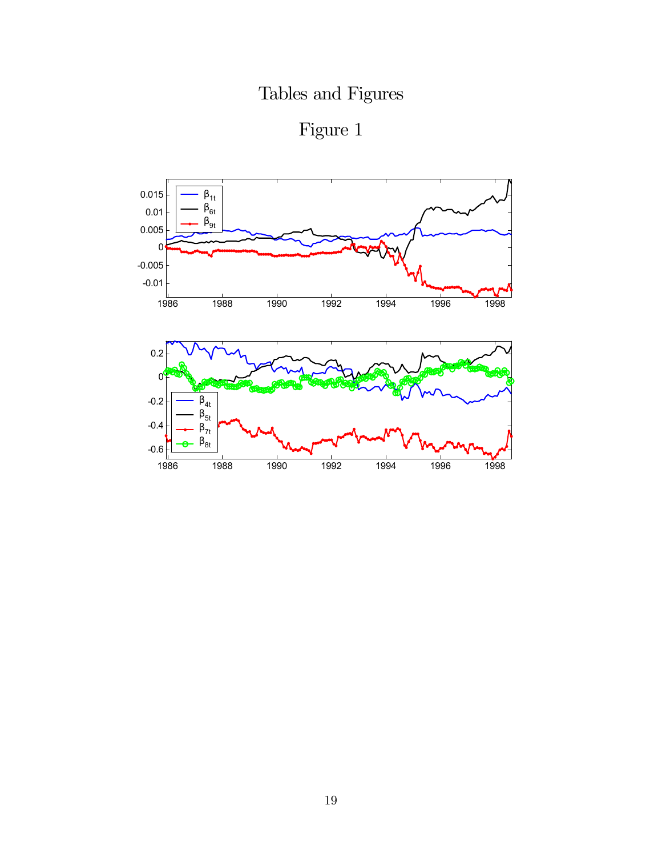Tables and Figures



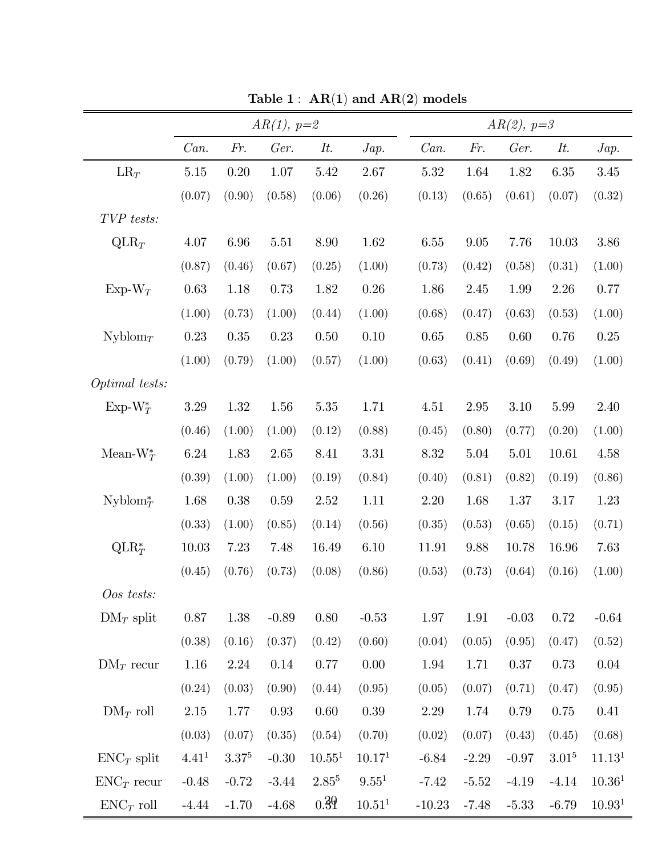|                          | $AR(1), p=2$      |            |         |                    |                    | $AR(2), p=3$ |          |         |            |                    |  |  |
|--------------------------|-------------------|------------|---------|--------------------|--------------------|--------------|----------|---------|------------|--------------------|--|--|
|                          | Can.              | Fr.        | Ger.    | It.                | Jap.               | Can.         | Fr.      | Ger.    | It.        | Jap.               |  |  |
| $LR_T$                   | $5.15\,$          | 0.20       | 1.07    | 5.42               | 2.67               | $5.32\,$     | 1.64     | 1.82    | $6.35\,$   | 3.45               |  |  |
|                          | (0.07)            | (0.90)     | (0.58)  | (0.06)             | (0.26)             | (0.13)       | (0.65)   | (0.61)  | (0.07)     | (0.32)             |  |  |
| TVP tests:               |                   |            |         |                    |                    |              |          |         |            |                    |  |  |
| $QLR_T$                  | 4.07              | $6.96\,$   | 5.51    | 8.90               | 1.62               | $6.55\,$     | $9.05\,$ | 7.76    | 10.03      | $3.86\,$           |  |  |
|                          | (0.87)            | (0.46)     | (0.67)  | (0.25)             | (1.00)             | (0.73)       | (0.42)   | (0.58)  | (0.31)     | (1.00)             |  |  |
| Exp-W $_T$               | 0.63              | 1.18       | 0.73    | 1.82               | $0.26\,$           | 1.86         | 2.45     | 1.99    | 2.26       | 0.77               |  |  |
|                          | (1.00)            | (0.73)     | (1.00)  | (0.44)             | (1.00)             | (0.68)       | (0.47)   | (0.63)  | (0.53)     | (1.00)             |  |  |
| Nyblom <sub>T</sub>      | 0.23              | 0.35       | 0.23    | 0.50               | 0.10               | 0.65         | 0.85     | 0.60    | 0.76       | 0.25               |  |  |
|                          | (1.00)            | (0.79)     | (1.00)  | (0.57)             | (1.00)             | (0.63)       | (0.41)   | (0.69)  | (0.49)     | (1.00)             |  |  |
| Optimal tests:           |                   |            |         |                    |                    |              |          |         |            |                    |  |  |
| $Exp-W_T^*$              | 3.29              | 1.32       | 1.56    | $5.35\,$           | 1.71               | 4.51         | 2.95     | 3.10    | 5.99       | 2.40               |  |  |
|                          | (0.46)            | (1.00)     | (1.00)  | (0.12)             | (0.88)             | (0.45)       | (0.80)   | (0.77)  | (0.20)     | (1.00)             |  |  |
| Mean- $W_T^*$            | 6.24              | 1.83       | 2.65    | 8.41               | 3.31               | 8.32         | 5.04     | 5.01    | 10.61      | 4.58               |  |  |
|                          | (0.39)            | (1.00)     | (1.00)  | (0.19)             | (0.84)             | (0.40)       | (0.81)   | (0.82)  | (0.19)     | (0.86)             |  |  |
| $Nyblom^*_{\mathcal{T}}$ | 1.68              | 0.38       | 0.59    | 2.52               | 1.11               | 2.20         | 1.68     | 1.37    | 3.17       | 1.23               |  |  |
|                          | (0.33)            | (1.00)     | (0.85)  | (0.14)             | (0.56)             | (0.35)       | (0.53)   | (0.65)  | (0.15)     | (0.71)             |  |  |
| $QLR_T^*$                | 10.03             | 7.23       | 7.48    | $16.49\,$          | 6.10               | 11.91        | 9.88     | 10.78   | 16.96      | 7.63               |  |  |
|                          | (0.45)            | (0.76)     | (0.73)  | (0.08)             | (0.86)             | (0.53)       | (0.73)   | (0.64)  | (0.16)     | (1.00)             |  |  |
| Oos tests:               |                   |            |         |                    |                    |              |          |         |            |                    |  |  |
| $DM_T$ split             | $0.87\,$          | 1.38       | $-0.89$ | $0.80\,$           | $-0.53$            | 1.97         | 1.91     | $-0.03$ | 0.72       | $-0.64$            |  |  |
|                          | (0.38)            | (0.16)     | (0.37)  | (0.42)             | (0.60)             | (0.04)       | (0.05)   | (0.95)  | (0.47)     | (0.52)             |  |  |
| $DM_T$ recur             | 1.16              | 2.24       | 0.14    | 0.77               | $0.00\,$           | 1.94         | 1.71     | 0.37    | 0.73       | 0.04               |  |  |
|                          | (0.24)            | (0.03)     | (0.90)  | (0.44)             | (0.95)             | (0.05)       | (0.07)   | (0.71)  | (0.47)     | (0.95)             |  |  |
| $DM_T$ roll              | 2.15              | 1.77       | 0.93    | 0.60               | $0.39\,$           | 2.29         | 1.74     | 0.79    | 0.75       | 0.41               |  |  |
|                          | (0.03)            | (0.07)     | (0.35)  | (0.54)             | (0.70)             | (0.02)       | (0.07)   | (0.43)  | (0.45)     | (0.68)             |  |  |
| $ENC_T$ split            | 4.41 <sup>1</sup> | $3.37^{5}$ | $-0.30$ | 10.55 <sup>1</sup> | 10.17 <sup>1</sup> | $-6.84$      | $-2.29$  | $-0.97$ | $3.01^{5}$ | 11.13 <sup>1</sup> |  |  |
| $ENC_T$ recur            | $-0.48$           | $-0.72$    | $-3.44$ | $2.85^{5}$         | 9.55 <sup>1</sup>  | $-7.42$      | $-5.52$  | $-4.19$ | $-4.14$    | 10.36 <sup>1</sup> |  |  |
| $ENC_T$ roll             | $-4.44$           | $-1.70$    | $-4.68$ | 0.39               | 10.51 <sup>1</sup> | $-10.23$     | $-7.48$  | $-5.33$ | $-6.79$    | 10.93 <sup>1</sup> |  |  |

Table  $1$  :  $\text{AR}(1)$  and  $\text{AR}(2)$  models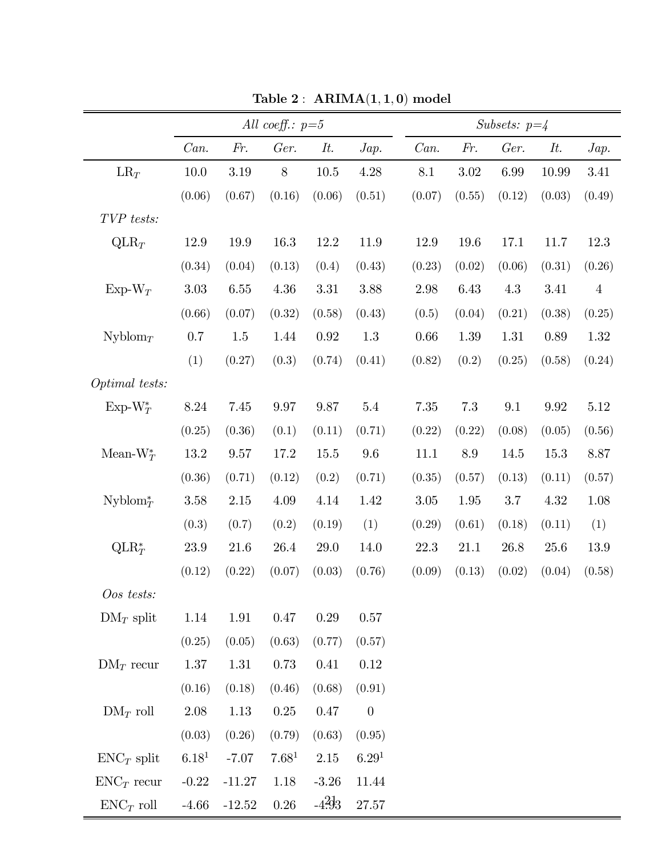|                          |                   |          | All coeff.: $p=5$ |                  |                   | Subsets: $p=4$ |        |        |        |         |  |  |
|--------------------------|-------------------|----------|-------------------|------------------|-------------------|----------------|--------|--------|--------|---------|--|--|
|                          | Can.              | Fr.      | Ger.              | It.              | Jap.              | Can.           | Fr.    | Ger.   | It.    | Jap.    |  |  |
| $LR_T$                   | 10.0              | 3.19     | $8\,$             | 10.5             | 4.28              | 8.1            | 3.02   | 6.99   | 10.99  | 3.41    |  |  |
|                          | (0.06)            | (0.67)   | (0.16)            | (0.06)           | (0.51)            | (0.07)         | (0.55) | (0.12) | (0.03) | (0.49)  |  |  |
| TVP tests:               |                   |          |                   |                  |                   |                |        |        |        |         |  |  |
| $QLR_T$                  | 12.9              | 19.9     | 16.3              | 12.2             | 11.9              | 12.9           | 19.6   | 17.1   | 11.7   | 12.3    |  |  |
|                          | (0.34)            | (0.04)   | (0.13)            | (0.4)            | (0.43)            | (0.23)         | (0.02) | (0.06) | (0.31) | (0.26)  |  |  |
| $Exp-W_T$                | 3.03              | 6.55     | 4.36              | 3.31             | 3.88              | 2.98           | 6.43   | 4.3    | 3.41   | $\,4\,$ |  |  |
|                          | (0.66)            | (0.07)   | (0.32)            | (0.58)           | (0.43)            | (0.5)          | (0.04) | (0.21) | (0.38) | (0.25)  |  |  |
| Nyblom <sub>T</sub>      | 0.7               | 1.5      | 1.44              | 0.92             | 1.3               | 0.66           | 1.39   | 1.31   | 0.89   | 1.32    |  |  |
|                          | (1)               | (0.27)   | (0.3)             | (0.74)           | (0.41)            | (0.82)         | (0.2)  | (0.25) | (0.58) | (0.24)  |  |  |
| Optimal tests:           |                   |          |                   |                  |                   |                |        |        |        |         |  |  |
| $Exp-W_T^*$              | 8.24              | 7.45     | 9.97              | 9.87             | $5.4\,$           | 7.35           | 7.3    | 9.1    | 9.92   | 5.12    |  |  |
|                          | (0.25)            | (0.36)   | (0.1)             | (0.11)           | (0.71)            | (0.22)         | (0.22) | (0.08) | (0.05) | (0.56)  |  |  |
| Mean- $W_T^*$            | 13.2              | 9.57     | 17.2              | 15.5             | 9.6               | 11.1           | 8.9    | 14.5   | 15.3   | 8.87    |  |  |
|                          | (0.36)            | (0.71)   | (0.12)            | (0.2)            | (0.71)            | (0.35)         | (0.57) | (0.13) | (0.11) | (0.57)  |  |  |
| $Nyblom^*_{\mathcal{T}}$ | 3.58              | 2.15     | 4.09              | 4.14             | 1.42              | 3.05           | 1.95   | 3.7    | 4.32   | 1.08    |  |  |
|                          | (0.3)             | (0.7)    | (0.2)             | (0.19)           | (1)               | (0.29)         | (0.61) | (0.18) | (0.11) | (1)     |  |  |
| $QLR_T^*$                | $23.9\,$          | 21.6     | 26.4              | 29.0             | 14.0              | 22.3           | 21.1   | 26.8   | 25.6   | 13.9    |  |  |
|                          | (0.12)            | (0.22)   | (0.07)            | (0.03)           | (0.76)            | (0.09)         | (0.13) | (0.02) | (0.04) | (0.58)  |  |  |
| Oos tests:               |                   |          |                   |                  |                   |                |        |        |        |         |  |  |
| $DM_T$ split             | 1.14              | 1.91     | 0.47              | 0.29             | $0.57\,$          |                |        |        |        |         |  |  |
|                          | (0.25)            | (0.05)   | (0.63)            | (0.77)           | (0.57)            |                |        |        |        |         |  |  |
| $DM_T$ recur             | $1.37\,$          | 1.31     | 0.73              | 0.41             | $0.12\,$          |                |        |        |        |         |  |  |
|                          | (0.16)            | (0.18)   | (0.46)            | (0.68)           | (0.91)            |                |        |        |        |         |  |  |
| $DM_T$ roll              | 2.08              | 1.13     | 0.25              | $0.47\,$         | $\boldsymbol{0}$  |                |        |        |        |         |  |  |
|                          | (0.03)            | (0.26)   | (0.79)            | (0.63)           | (0.95)            |                |        |        |        |         |  |  |
| $ENC_T$ split            | 6.18 <sup>1</sup> | $-7.07$  | 7.68 <sup>1</sup> | $2.15\,$         | 6.29 <sup>1</sup> |                |        |        |        |         |  |  |
| $ENC_T$ recur            | $-0.22$           | $-11.27$ | 1.18              | $-3.26$          | 11.44             |                |        |        |        |         |  |  |
| $ENC_T$ roll             | $-4.66$           | $-12.52$ | $0.26\,$          | $-4\frac{2}{3}3$ | $27.57\,$         |                |        |        |        |         |  |  |

Table 2:  $ARIMA(1,1,0)$  model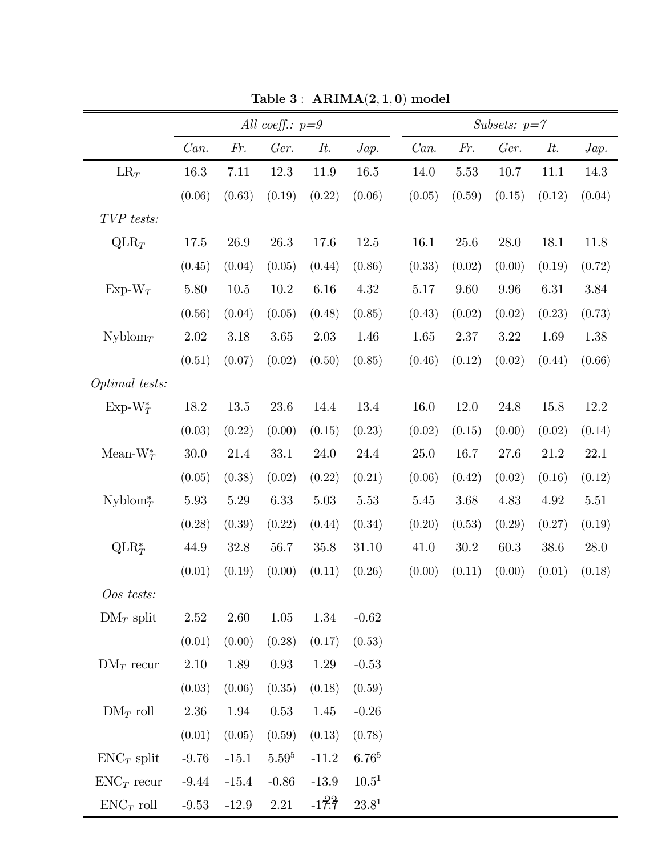|                          | All coeff.: $p=9$ |          |            |         |                | Subsets: $p = 7$ |          |        |        |        |  |  |
|--------------------------|-------------------|----------|------------|---------|----------------|------------------|----------|--------|--------|--------|--|--|
|                          | Can.              | Fr.      | Ger.       | It.     | Jap.           | Can.             | Fr.      | Ger.   | It.    | Jap.   |  |  |
| $LR_T$                   | 16.3              | 7.11     | 12.3       | 11.9    | 16.5           | 14.0             | 5.53     | 10.7   | 11.1   | 14.3   |  |  |
|                          | (0.06)            | (0.63)   | (0.19)     | (0.22)  | (0.06)         | (0.05)           | (0.59)   | (0.15) | (0.12) | (0.04) |  |  |
| TVP tests:               |                   |          |            |         |                |                  |          |        |        |        |  |  |
| $QLR_T$                  | 17.5              | 26.9     | 26.3       | 17.6    | 12.5           | 16.1             | $25.6\,$ | 28.0   | 18.1   | 11.8   |  |  |
|                          | (0.45)            | (0.04)   | (0.05)     | (0.44)  | (0.86)         | (0.33)           | (0.02)   | (0.00) | (0.19) | (0.72) |  |  |
| $Exp-W_T$                | $5.80\,$          | $10.5\,$ | $10.2\,$   | 6.16    | 4.32           | 5.17             | 9.60     | 9.96   | 6.31   | 3.84   |  |  |
|                          | (0.56)            | (0.04)   | (0.05)     | (0.48)  | (0.85)         | (0.43)           | (0.02)   | (0.02) | (0.23) | (0.73) |  |  |
| Nyblom <sub>T</sub>      | 2.02              | 3.18     | 3.65       | 2.03    | 1.46           | 1.65             | 2.37     | 3.22   | 1.69   | 1.38   |  |  |
|                          | (0.51)            | (0.07)   | (0.02)     | (0.50)  | (0.85)         | (0.46)           | (0.12)   | (0.02) | (0.44) | (0.66) |  |  |
| Optimal tests:           |                   |          |            |         |                |                  |          |        |        |        |  |  |
| $Exp-W^*_T$              | 18.2              | 13.5     | 23.6       | 14.4    | 13.4           | 16.0             | 12.0     | 24.8   | 15.8   | 12.2   |  |  |
|                          | (0.03)            | (0.22)   | (0.00)     | (0.15)  | (0.23)         | (0.02)           | (0.15)   | (0.00) | (0.02) | (0.14) |  |  |
| Mean- $W_T^*$            | $30.0\,$          | 21.4     | 33.1       | 24.0    | 24.4           | 25.0             | 16.7     | 27.6   | 21.2   | 22.1   |  |  |
|                          | (0.05)            | (0.38)   | (0.02)     | (0.22)  | (0.21)         | (0.06)           | (0.42)   | (0.02) | (0.16) | (0.12) |  |  |
| $Nyblom^*_{\mathcal{T}}$ | 5.93              | $5.29\,$ | 6.33       | 5.03    | 5.53           | 5.45             | 3.68     | 4.83   | 4.92   | 5.51   |  |  |
|                          | (0.28)            | (0.39)   | (0.22)     | (0.44)  | (0.34)         | (0.20)           | (0.53)   | (0.29) | (0.27) | (0.19) |  |  |
| $QLR_T^*$                | 44.9              | 32.8     | 56.7       | 35.8    | 31.10          | 41.0             | $30.2\,$ | 60.3   | 38.6   | 28.0   |  |  |
|                          | (0.01)            | (0.19)   | (0.00)     | (0.11)  | (0.26)         | (0.00)           | (0.11)   | (0.00) | (0.01) | (0.18) |  |  |
| Oos tests:               |                   |          |            |         |                |                  |          |        |        |        |  |  |
| $DM_T$ split             | 2.52              | 2.60     | 1.05       | 1.34    | $-0.62$        |                  |          |        |        |        |  |  |
|                          | (0.01)            | (0.00)   | (0.28)     | (0.17)  | (0.53)         |                  |          |        |        |        |  |  |
| $DM_T$ recur             | 2.10              | 1.89     | 0.93       | 1.29    | $-0.53$        |                  |          |        |        |        |  |  |
|                          | (0.03)            | (0.06)   | (0.35)     | (0.18)  | (0.59)         |                  |          |        |        |        |  |  |
| $DM_T$ roll              | 2.36              | 1.94     | 0.53       | 1.45    | $-0.26$        |                  |          |        |        |        |  |  |
|                          | (0.01)            | (0.05)   | (0.59)     | (0.13)  | (0.78)         |                  |          |        |        |        |  |  |
| $ENC_T$ split            | $-9.76$           | $-15.1$  | $5.59^{5}$ | $-11.2$ | $6.76^{5}$     |                  |          |        |        |        |  |  |
| $ENC_T$ recur            | $-9.44$           | $-15.4$  | $-0.86$    | $-13.9$ | $10.5^1$       |                  |          |        |        |        |  |  |
| $ENC_T$ roll             | $-9.53$           | $-12.9$  | $2.21\,$   | $-17.7$ | $23.8^{\rm 1}$ |                  |          |        |        |        |  |  |

Table 3:  $ARIMA(2,1,0)$  model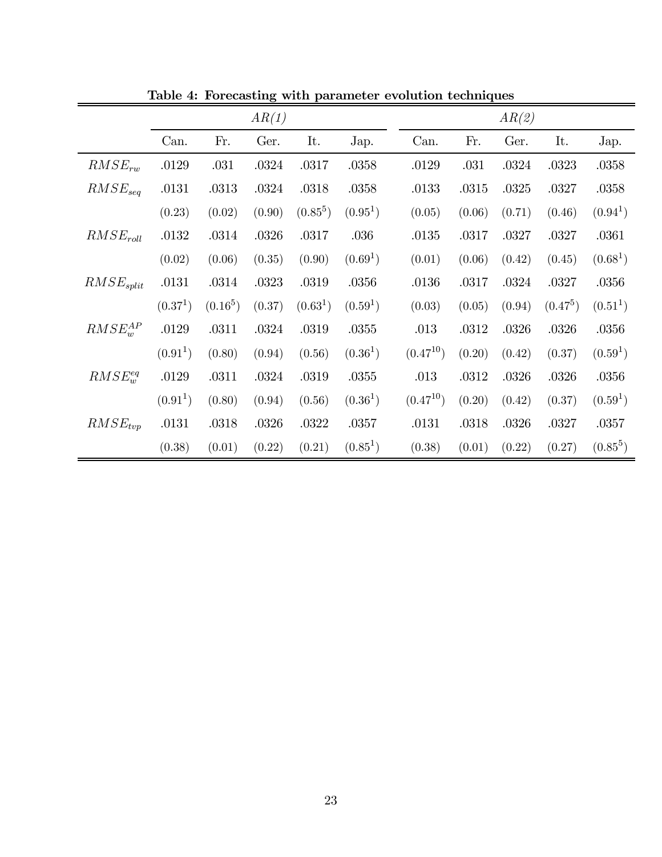|                |                      |            | AR(1)  |                      |                      |               |        | AR(2)  |            |                      |
|----------------|----------------------|------------|--------|----------------------|----------------------|---------------|--------|--------|------------|----------------------|
|                | Can.                 | Fr.        | Ger.   | It.                  | Jap.                 | Can.          | Fr.    | Ger.   | It.        | Jap.                 |
| $RMSE_{rw}$    | .0129                | .031       | .0324  | .0317                | .0358                | .0129         | .031   | .0324  | .0323      | .0358                |
| $RMSE_{sea}$   | .0131                | .0313      | .0324  | .0318                | .0358                | .0133         | .0315  | .0325  | .0327      | .0358                |
|                | (0.23)               | (0.02)     | (0.90) | $(0.85^5)$           | (0.95 <sup>1</sup> ) | (0.05)        | (0.06) | (0.71) | (0.46)     | (0.94 <sup>1</sup> ) |
| $RMSE_{roll}$  | .0132                | .0314      | .0326  | .0317                | .036                 | .0135         | .0317  | .0327  | .0327      | .0361                |
|                | (0.02)               | (0.06)     | (0.35) | (0.90)               | (0.69 <sup>1</sup> ) | (0.01)        | (0.06) | (0.42) | (0.45)     | (0.68 <sup>1</sup> ) |
| $RMSE_{split}$ | .0131                | .0314      | .0323  | .0319                | .0356                | .0136         | .0317  | .0324  | .0327      | .0356                |
|                | (0.37 <sup>1</sup> ) | $(0.16^5)$ | (0.37) | (0.63 <sup>1</sup> ) | (0.59 <sup>1</sup> ) | (0.03)        | (0.05) | (0.94) | $(0.47^5)$ | (0.51 <sup>1</sup> ) |
| $RMSE_w^{AP}$  | .0129                | .0311      | .0324  | .0319                | .0355                | .013          | .0312  | .0326  | .0326      | .0356                |
|                | (0.91 <sup>1</sup> ) | (0.80)     | (0.94) | (0.56)               | (0.36 <sup>1</sup> ) | $(0.47^{10})$ | (0.20) | (0.42) | (0.37)     | (0.59 <sup>1</sup> ) |
| $RMSE_w^{eq}$  | .0129                | .0311      | .0324  | .0319                | $.0355\,$            | .013          | .0312  | .0326  | .0326      | .0356                |
|                | (0.91 <sup>1</sup> ) | (0.80)     | (0.94) | (0.56)               | (0.36 <sup>1</sup> ) | $(0.47^{10})$ | (0.20) | (0.42) | (0.37)     | (0.59 <sup>1</sup> ) |
| $RMSE_{tvp}$   | .0131                | .0318      | .0326  | .0322                | .0357                | .0131         | .0318  | .0326  | .0327      | .0357                |
|                | (0.38)               | (0.01)     | (0.22) | (0.21)               | $(0.85^1)$           | (0.38)        | (0.01) | (0.22) | (0.27)     | $(0.85^5)$           |

Table 4: Forecasting with parameter evolution techniques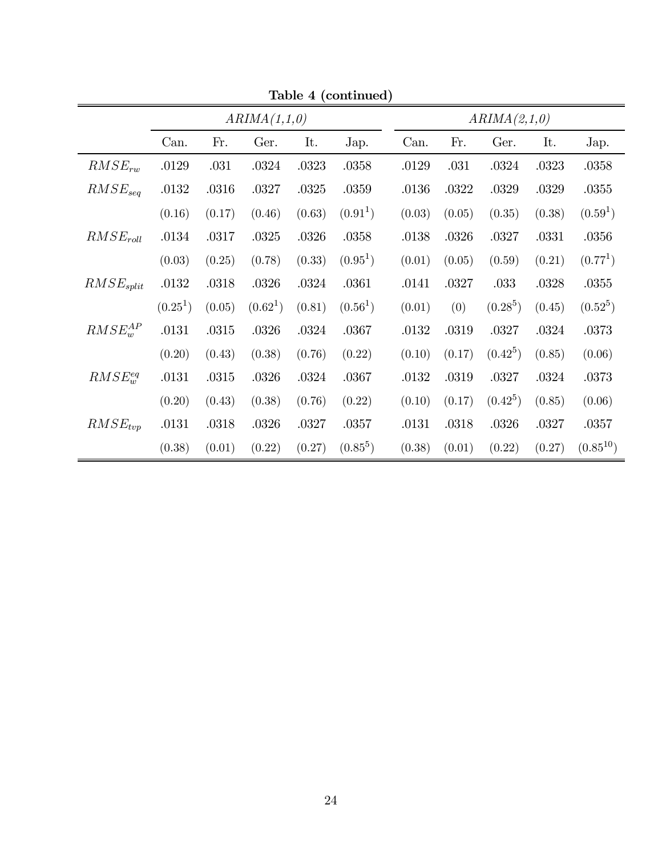| Table 4 (continued) |              |        |                      |        |                      |  |              |        |            |        |                      |  |  |
|---------------------|--------------|--------|----------------------|--------|----------------------|--|--------------|--------|------------|--------|----------------------|--|--|
|                     | ARIMA(1,1,0) |        |                      |        |                      |  | ARIMA(2,1,0) |        |            |        |                      |  |  |
|                     | Can.         | Fr.    | Ger.                 | It.    | Jap.                 |  | Can.         | Fr.    | Ger.       | It.    | Jap.                 |  |  |
| $RMSE_{rw}$         | .0129        | .031   | .0324                | .0323  | .0358                |  | .0129        | .031   | .0324      | .0323  | .0358                |  |  |
| $RMSE_{sea}$        | .0132        | .0316  | .0327                | .0325  | .0359                |  | .0136        | .0322  | .0329      | .0329  | .0355                |  |  |
|                     | (0.16)       | (0.17) | (0.46)               | (0.63) | (0.91 <sup>1</sup> ) |  | (0.03)       | (0.05) | (0.35)     | (0.38) | (0.59 <sup>1</sup> ) |  |  |
| $RMSE_{roll}$       | .0134        | .0317  | .0325                | .0326  | .0358                |  | .0138        | .0326  | .0327      | .0331  | .0356                |  |  |
|                     | (0.03)       | (0.25) | (0.78)               | (0.33) | $(0.95^1)$           |  | (0.01)       | (0.05) | (0.59)     | (0.21) | (0.77 <sup>1</sup> ) |  |  |
| $RMSE_{split}$      | .0132        | .0318  | .0326                | .0324  | .0361                |  | .0141        | .0327  | .033       | .0328  | .0355                |  |  |
|                     | $(0.25^1)$   | (0.05) | (0.62 <sup>1</sup> ) | (0.81) | (0.56 <sup>1</sup> ) |  | (0.01)       | (0)    | $(0.28^5)$ | (0.45) | $(0.52^5)$           |  |  |
| $RMSE_w^{AP}$       | .0131        | .0315  | .0326                | .0324  | .0367                |  | .0132        | .0319  | .0327      | .0324  | .0373                |  |  |
|                     | (0.20)       | (0.43) | (0.38)               | (0.76) | (0.22)               |  | (0.10)       | (0.17) | $(0.42^5)$ | (0.85) | (0.06)               |  |  |
| $RMSE_w^{eq}$       | .0131        | .0315  | .0326                | .0324  | .0367                |  | .0132        | .0319  | .0327      | .0324  | .0373                |  |  |
|                     | (0.20)       | (0.43) | (0.38)               | (0.76) | (0.22)               |  | (0.10)       | (0.17) | $(0.42^5)$ | (0.85) | (0.06)               |  |  |
| $RMSE_{tvp}$        | .0131        | .0318  | .0326                | .0327  | .0357                |  | .0131        | .0318  | .0326      | .0327  | .0357                |  |  |
|                     | (0.38)       | (0.01) | (0.22)               | (0.27) | $(0.85^5)$           |  | (0.38)       | (0.01) | (0.22)     | (0.27) | $(0.85^{10})$        |  |  |